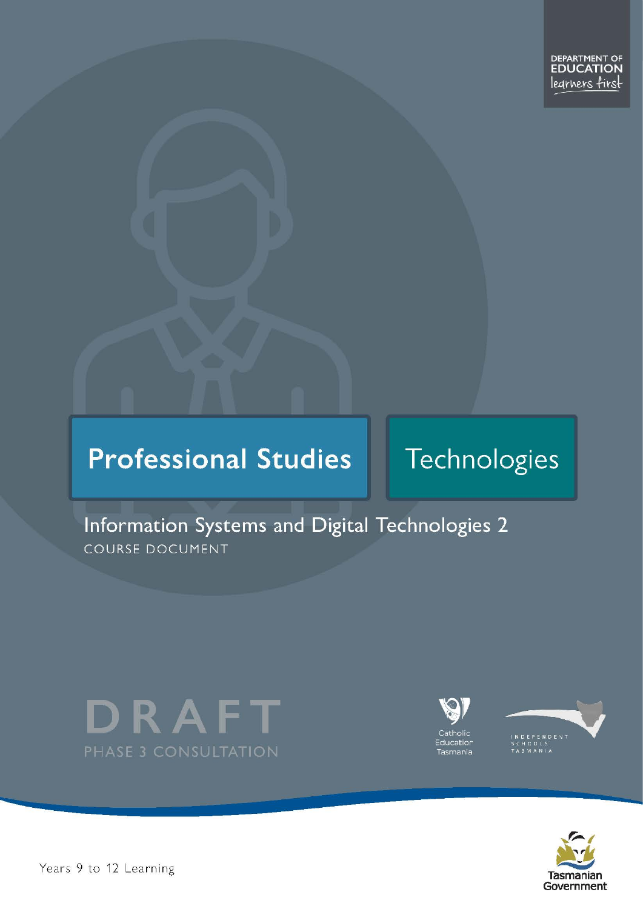# **Professional Studies**

# Technologies

# Information Systems and Digital Technologies 2 COURSE DOCUMENT







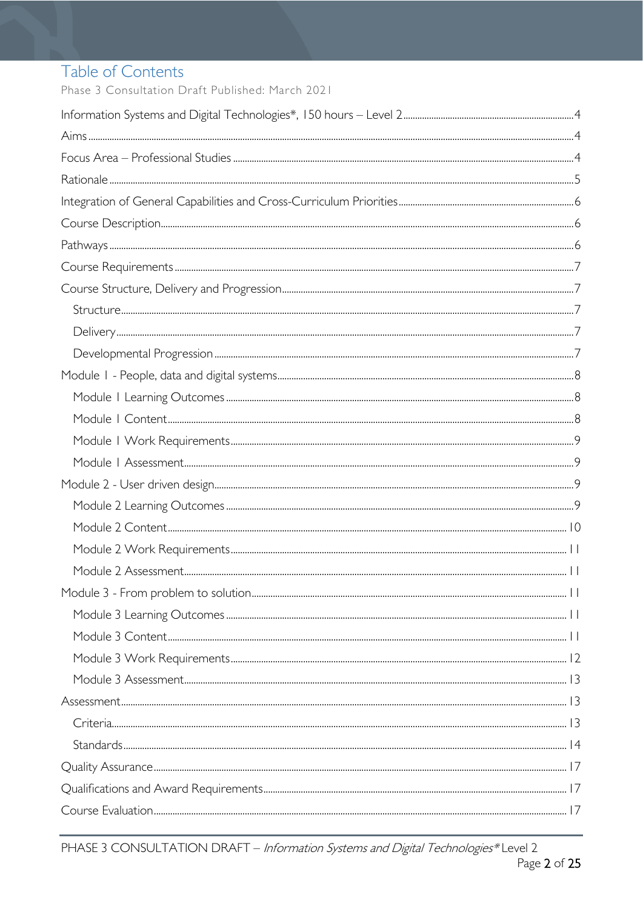# Table of Contents

Phase 3 Consultation Draft Published: March 2021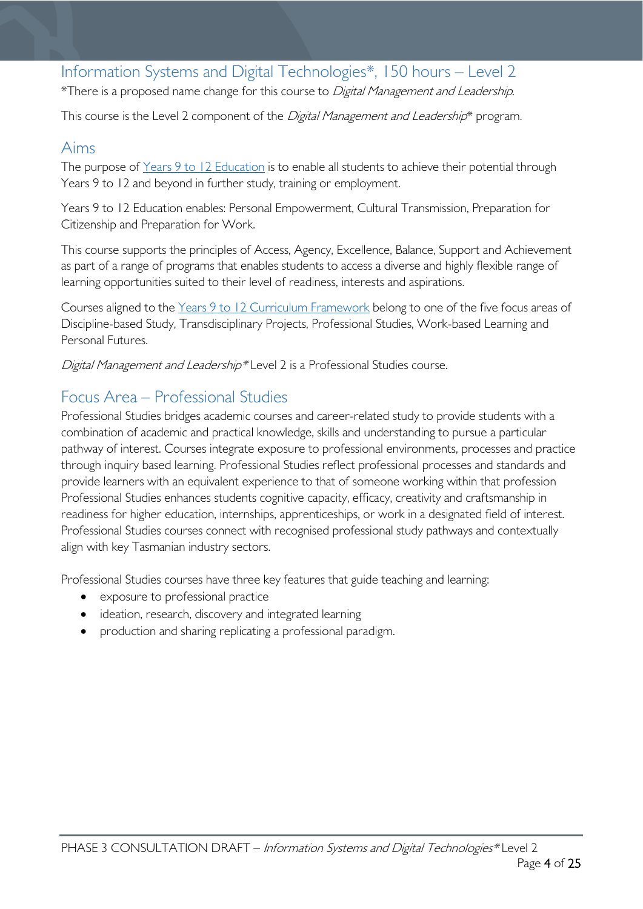# <span id="page-3-0"></span>Information Systems and Digital Technologies\*, 150 hours – Level 2

\*There is a proposed name change for this course to Digital Management and Leadership.

This course is the Level 2 component of the *Digital Management and Leadership*\* program.

### <span id="page-3-1"></span>Aims

The purpose of Years 9 to 12 [Education](https://publicdocumentcentre.education.tas.gov.au/library/Shared%20Documents/Years-9-to-12-Education-Framework.pdf) is to enable all students to achieve their potential through Years 9 to 12 and beyond in further study, training or employment.

Years 9 to 12 Education enables: Personal Empowerment, Cultural Transmission, Preparation for Citizenship and Preparation for Work.

This course supports the principles of Access, Agency, Excellence, Balance, Support and Achievement as part of a range of programs that enables students to access a diverse and highly flexible range of learning opportunities suited to their level of readiness, interests and aspirations.

Courses aligned to the Years 9 to 12 Curriculum [Framework](https://publicdocumentcentre.education.tas.gov.au/library/Shared%20Documents/Education%209-12%20Frameworks%20A3%20WEB%20POSTER.pdf) belong to one of the five focus areas of Discipline-based Study, Transdisciplinary Projects, Professional Studies, Work-based Learning and Personal Futures.

Digital Management and Leadership\*Level 2 is a Professional Studies course.

# <span id="page-3-2"></span>Focus Area – Professional Studies

Professional Studies bridges academic courses and career-related study to provide students with a combination of academic and practical knowledge, skills and understanding to pursue a particular pathway of interest. Courses integrate exposure to professional environments, processes and practice through inquiry based learning. Professional Studies reflect professional processes and standards and provide learners with an equivalent experience to that of someone working within that profession Professional Studies enhances students cognitive capacity, efficacy, creativity and craftsmanship in readiness for higher education, internships, apprenticeships, or work in a designated field of interest. Professional Studies courses connect with recognised professional study pathways and contextually align with key Tasmanian industry sectors.

Professional Studies courses have three key features that guide teaching and learning:

- exposure to professional practice
- ideation, research, discovery and integrated learning
- production and sharing replicating a professional paradigm.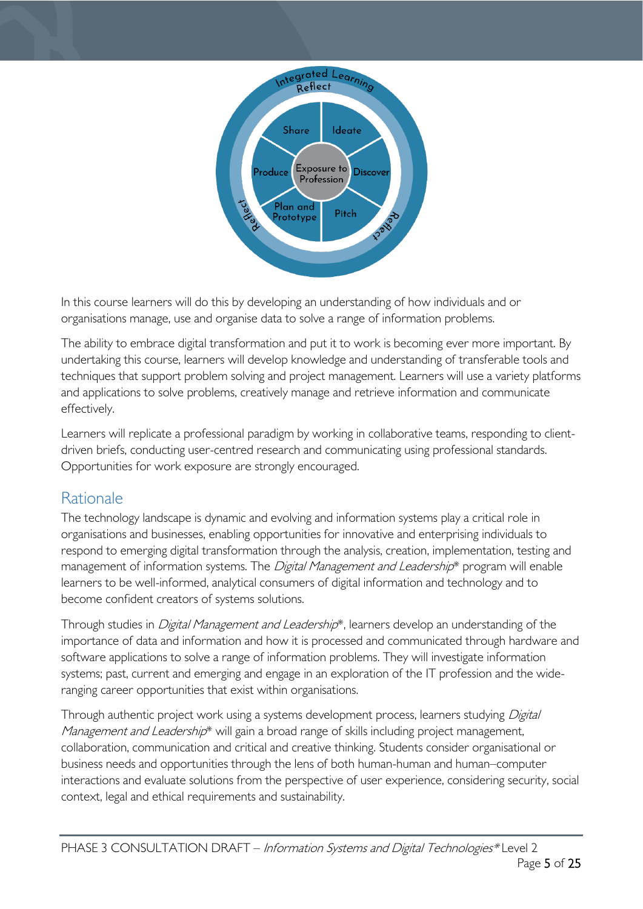

In this course learners will do this by developing an understanding of how individuals and or organisations manage, use and organise data to solve a range of information problems.

The ability to embrace digital transformation and put it to work is becoming ever more important. By undertaking this course, learners will develop knowledge and understanding of transferable tools and techniques that support problem solving and project management. Learners will use a variety platforms and applications to solve problems, creatively manage and retrieve information and communicate effectively.

Learners will replicate a professional paradigm by working in collaborative teams, responding to clientdriven briefs, conducting user-centred research and communicating using professional standards. Opportunities for work exposure are strongly encouraged.

# <span id="page-4-0"></span>Rationale

The technology landscape is dynamic and evolving and information systems play a critical role in organisations and businesses, enabling opportunities for innovative and enterprising individuals to respond to emerging digital transformation through the analysis, creation, implementation, testing and management of information systems. The *Digital Management and Leadership*\* program will enable learners to be well-informed, analytical consumers of digital information and technology and to become confident creators of systems solutions.

Through studies in *Digital Management and Leadership*<sup>\*</sup>, learners develop an understanding of the importance of data and information and how it is processed and communicated through hardware and software applications to solve a range of information problems. They will investigate information systems; past, current and emerging and engage in an exploration of the IT profession and the wideranging career opportunities that exist within organisations.

Through authentic project work using a systems development process, learners studying Digital Management and Leadership\* will gain a broad range of skills including project management, collaboration, communication and critical and creative thinking. Students consider organisational or business needs and opportunities through the lens of both human-human and human–computer interactions and evaluate solutions from the perspective of user experience, considering security, social context, legal and ethical requirements and sustainability.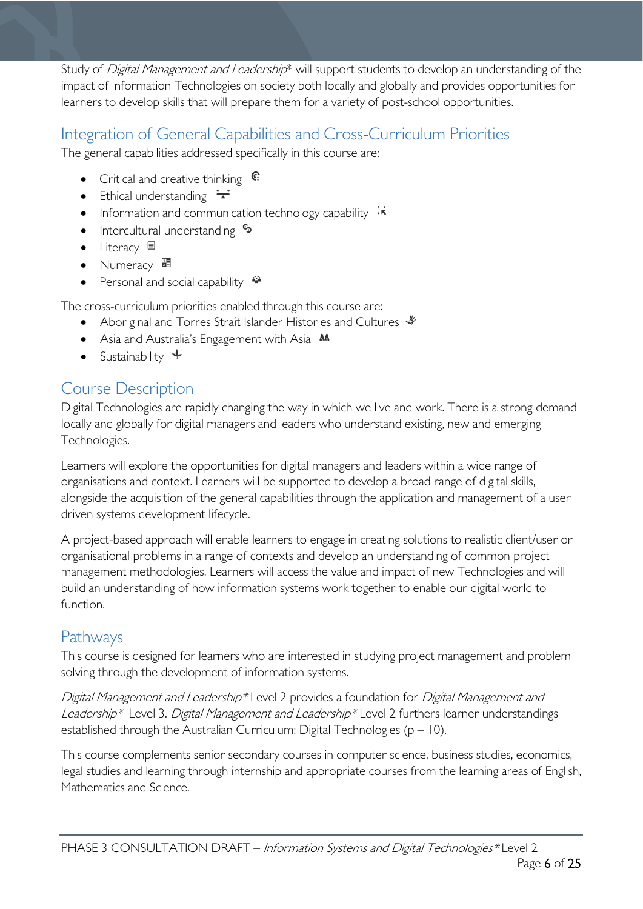Study of Digital Management and Leadership\* will support students to develop an understanding of the impact of information Technologies on society both locally and globally and provides opportunities for learners to develop skills that will prepare them for a variety of post-school opportunities.

# <span id="page-5-0"></span>Integration of General Capabilities and Cross-Curriculum Priorities

The general capabilities addressed specifically in this course are:

- Critical and creative thinking  $\mathbb{C}$
- Ethical understanding  $\div$
- Information and communication technology capability  $\cdot \star$
- Intercultural understanding  $\frac{c_3}{ }$
- Literacy  $\blacksquare$
- Numeracy
- Personal and social capability  $\ddot{\ddot{}}$

The cross-curriculum priorities enabled through this course are:

- Aboriginal and Torres Strait Islander Histories and Cultures  $\mathcal$
- Asia and Australia's Engagement with Asia **M**
- Sustainability  $\triangleleft$

# <span id="page-5-1"></span>Course Description

Digital Technologies are rapidly changing the way in which we live and work. There is a strong demand locally and globally for digital managers and leaders who understand existing, new and emerging Technologies.

Learners will explore the opportunities for digital managers and leaders within a wide range of organisations and context. Learners will be supported to develop a broad range of digital skills, alongside the acquisition of the general capabilities through the application and management of a user driven systems development lifecycle.

A project-based approach will enable learners to engage in creating solutions to realistic client/user or organisational problems in a range of contexts and develop an understanding of common project management methodologies. Learners will access the value and impact of new Technologies and will build an understanding of how information systems work together to enable our digital world to function.

# <span id="page-5-2"></span>Pathways

This course is designed for learners who are interested in studying project management and problem solving through the development of information systems.

Digital Management and Leadership\* Level 2 provides a foundation for Digital Management and Leadership\* Level 3. Digital Management and Leadership\* Level 2 furthers learner understandings established through the Australian Curriculum: Digital Technologies ( $p - 10$ ).

This course complements senior secondary courses in computer science, business studies, economics, legal studies and learning through internship and appropriate courses from the learning areas of English, Mathematics and Science.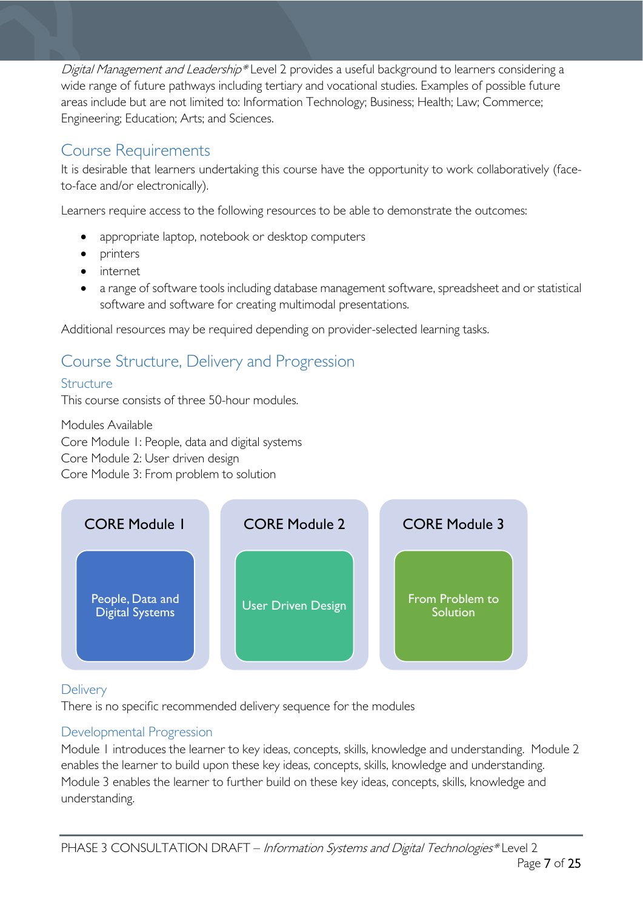Digital Management and Leadership\* Level 2 provides a useful background to learners considering a wide range of future pathways including tertiary and vocational studies. Examples of possible future areas include but are not limited to: Information Technology; Business; Health; Law; Commerce; Engineering; Education; Arts; and Sciences.

# <span id="page-6-0"></span>Course Requirements

It is desirable that learners undertaking this course have the opportunity to work collaboratively (faceto-face and/or electronically).

Learners require access to the following resources to be able to demonstrate the outcomes:

- appropriate laptop, notebook or desktop computers
- **printers**
- internet
- a range of software tools including database management software, spreadsheet and or statistical software and software for creating multimodal presentations.

Additional resources may be required depending on provider-selected learning tasks.

# <span id="page-6-1"></span>Course Structure, Delivery and Progression

### <span id="page-6-2"></span>Structure

This course consists of three 50-hour modules.

Modules Available

Core Module 1: People, data and digital systems

Core Module 2: User driven design

Core Module 3: From problem to solution



### <span id="page-6-3"></span>**Delivery**

There is no specific recommended delivery sequence for the modules

### <span id="page-6-4"></span>Developmental Progression

Module 1 introduces the learner to key ideas, concepts, skills, knowledge and understanding. Module 2 enables the learner to build upon these key ideas, concepts, skills, knowledge and understanding. Module 3 enables the learner to further build on these key ideas, concepts, skills, knowledge and understanding.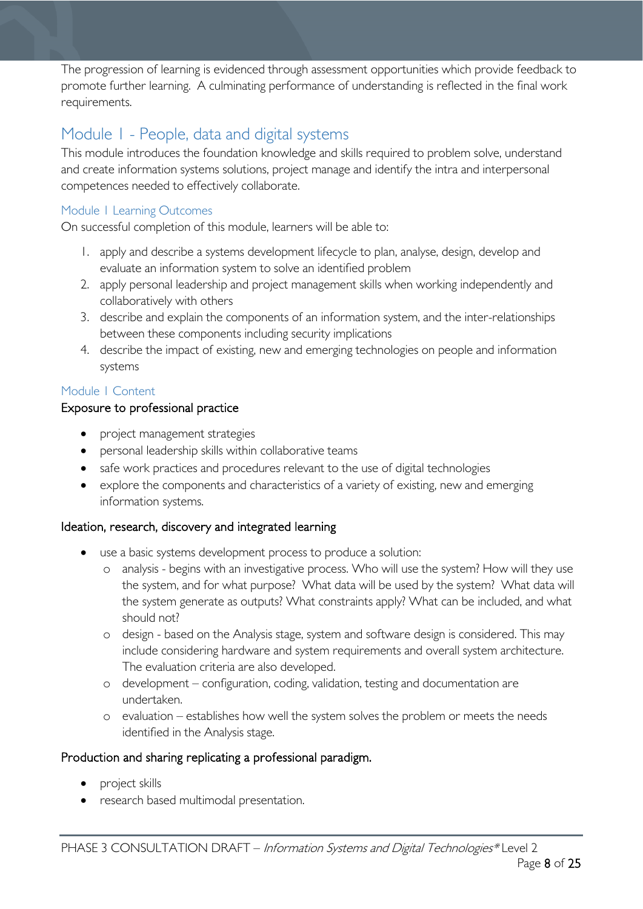The progression of learning is evidenced through assessment opportunities which provide feedback to promote further learning. A culminating performance of understanding is reflected in the final work requirements.

# <span id="page-7-0"></span>Module 1 - People, data and digital systems

This module introduces the foundation knowledge and skills required to problem solve, understand and create information systems solutions, project manage and identify the intra and interpersonal competences needed to effectively collaborate.

#### <span id="page-7-1"></span>Module 1 Learning Outcomes

On successful completion of this module, learners will be able to:

- 1. apply and describe a systems development lifecycle to plan, analyse, design, develop and evaluate an information system to solve an identified problem
- 2. apply personal leadership and project management skills when working independently and collaboratively with others
- 3. describe and explain the components of an information system, and the inter-relationships between these components including security implications
- 4. describe the impact of existing, new and emerging technologies on people and information systems

#### <span id="page-7-2"></span>Module 1 Content

#### Exposure to professional practice

- project management strategies
- personal leadership skills within collaborative teams
- safe work practices and procedures relevant to the use of digital technologies
- explore the components and characteristics of a variety of existing, new and emerging information systems.

#### Ideation, research, discovery and integrated learning

- use a basic systems development process to produce a solution:
	- o analysis begins with an investigative process. Who will use the system? How will they use the system, and for what purpose? What data will be used by the system? What data will the system generate as outputs? What constraints apply? What can be included, and what should not?
	- o design based on the Analysis stage, system and software design is considered. This may include considering hardware and system requirements and overall system architecture. The evaluation criteria are also developed.
	- o development configuration, coding, validation, testing and documentation are undertaken.
	- o evaluation establishes how well the system solves the problem or meets the needs identified in the Analysis stage.

#### Production and sharing replicating a professional paradigm.

- project skills
- research based multimodal presentation.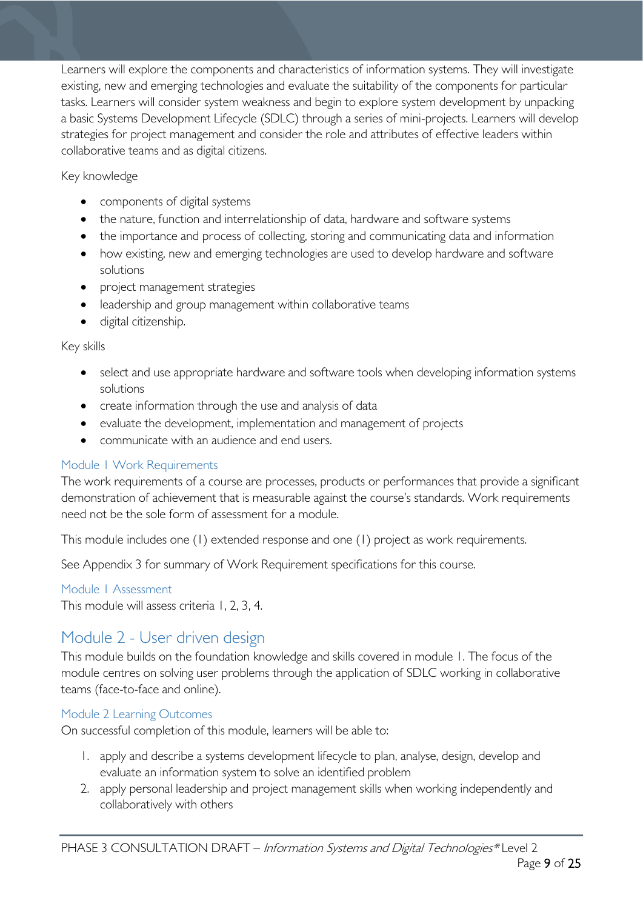Learners will explore the components and characteristics of information systems. They will investigate existing, new and emerging technologies and evaluate the suitability of the components for particular tasks. Learners will consider system weakness and begin to explore system development by unpacking a basic Systems Development Lifecycle (SDLC) through a series of mini-projects. Learners will develop strategies for project management and consider the role and attributes of effective leaders within collaborative teams and as digital citizens.

Key knowledge

- components of digital systems
- the nature, function and interrelationship of data, hardware and software systems
- the importance and process of collecting, storing and communicating data and information
- how existing, new and emerging technologies are used to develop hardware and software solutions
- project management strategies
- leadership and group management within collaborative teams
- digital citizenship.

Key skills

- select and use appropriate hardware and software tools when developing information systems solutions
- create information through the use and analysis of data
- evaluate the development, implementation and management of projects
- communicate with an audience and end users.

#### <span id="page-8-0"></span>Module 1 Work Requirements

The work requirements of a course are processes, products or performances that provide a significant demonstration of achievement that is measurable against the course's standards. Work requirements need not be the sole form of assessment for a module.

This module includes one (1) extended response and one (1) project as work requirements.

See Appendix 3 for summary of Work Requirement specifications for this course.

#### <span id="page-8-1"></span>Module 1 Assessment

This module will assess criteria 1, 2, 3, 4.

# <span id="page-8-2"></span>Module 2 - User driven design

This module builds on the foundation knowledge and skills covered in module 1. The focus of the module centres on solving user problems through the application of SDLC working in collaborative teams (face-to-face and online).

#### <span id="page-8-3"></span>Module 2 Learning Outcomes

On successful completion of this module, learners will be able to:

- 1. apply and describe a systems development lifecycle to plan, analyse, design, develop and evaluate an information system to solve an identified problem
- 2. apply personal leadership and project management skills when working independently and collaboratively with others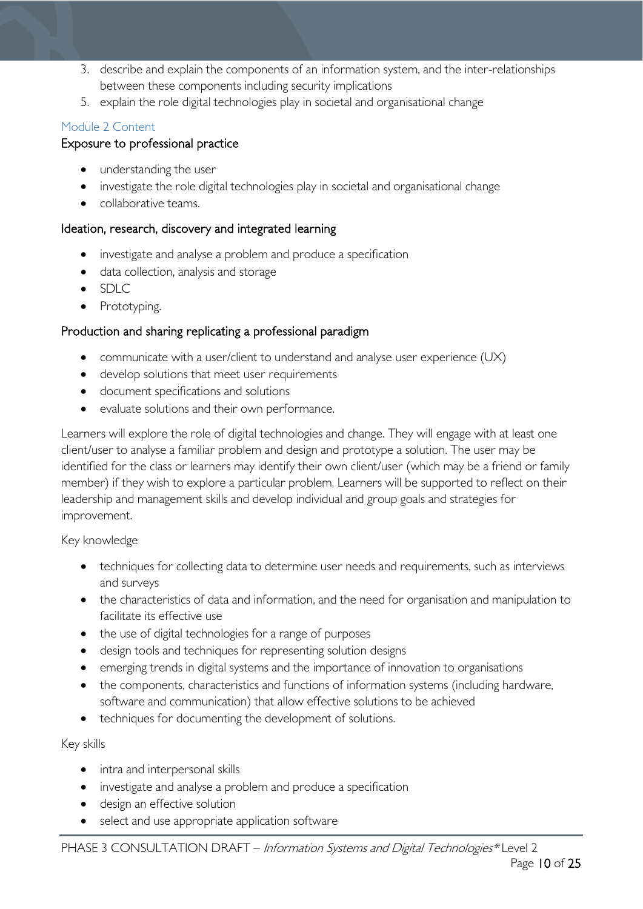- 3. describe and explain the components of an information system, and the inter-relationships between these components including security implications
- 5. explain the role digital technologies play in societal and organisational change

#### <span id="page-9-0"></span>Module 2 Content

#### Exposure to professional practice

- understanding the user
- investigate the role digital technologies play in societal and organisational change
- collaborative teams.

#### Ideation, research, discovery and integrated learning

- investigate and analyse a problem and produce a specification
- data collection, analysis and storage
- SDLC
- Prototyping.

#### Production and sharing replicating a professional paradigm

- communicate with a user/client to understand and analyse user experience (UX)
- develop solutions that meet user requirements
- document specifications and solutions
- evaluate solutions and their own performance.

Learners will explore the role of digital technologies and change. They will engage with at least one client/user to analyse a familiar problem and design and prototype a solution. The user may be identified for the class or learners may identify their own client/user (which may be a friend or family member) if they wish to explore a particular problem. Learners will be supported to reflect on their leadership and management skills and develop individual and group goals and strategies for improvement.

#### Key knowledge

- techniques for collecting data to determine user needs and requirements, such as interviews and surveys
- the characteristics of data and information, and the need for organisation and manipulation to facilitate its effective use
- the use of digital technologies for a range of purposes
- design tools and techniques for representing solution designs
- emerging trends in digital systems and the importance of innovation to organisations
- the components, characteristics and functions of information systems (including hardware, software and communication) that allow effective solutions to be achieved
- techniques for documenting the development of solutions.

#### Key skills

- intra and interpersonal skills
- investigate and analyse a problem and produce a specification
- design an effective solution
- select and use appropriate application software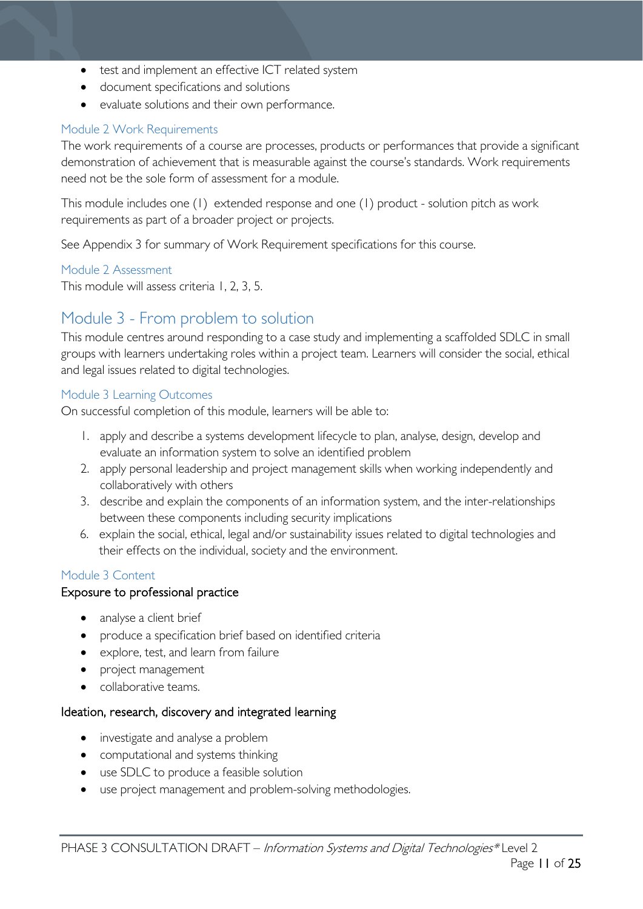- test and implement an effective ICT related system
- document specifications and solutions
- evaluate solutions and their own performance.

#### <span id="page-10-0"></span>Module 2 Work Requirements

The work requirements of a course are processes, products or performances that provide a significant demonstration of achievement that is measurable against the course's standards. Work requirements need not be the sole form of assessment for a module.

This module includes one (1) extended response and one (1) product - solution pitch as work requirements as part of a broader project or projects.

See Appendix 3 for summary of Work Requirement specifications for this course.

#### <span id="page-10-1"></span>Module 2 Assessment

This module will assess criteria 1, 2, 3, 5.

# <span id="page-10-2"></span>Module 3 - From problem to solution

This module centres around responding to a case study and implementing a scaffolded SDLC in small groups with learners undertaking roles within a project team. Learners will consider the social, ethical and legal issues related to digital technologies.

#### <span id="page-10-3"></span>Module 3 Learning Outcomes

On successful completion of this module, learners will be able to:

- 1. apply and describe a systems development lifecycle to plan, analyse, design, develop and evaluate an information system to solve an identified problem
- 2. apply personal leadership and project management skills when working independently and collaboratively with others
- 3. describe and explain the components of an information system, and the inter-relationships between these components including security implications
- 6. explain the social, ethical, legal and/or sustainability issues related to digital technologies and their effects on the individual, society and the environment.

#### <span id="page-10-4"></span>Module 3 Content

#### Exposure to professional practice

- analyse a client brief
- produce a specification brief based on identified criteria
- explore, test, and learn from failure
- project management
- collaborative teams.

#### Ideation, research, discovery and integrated learning

- investigate and analyse a problem
- computational and systems thinking
- use SDLC to produce a feasible solution
- use project management and problem-solving methodologies.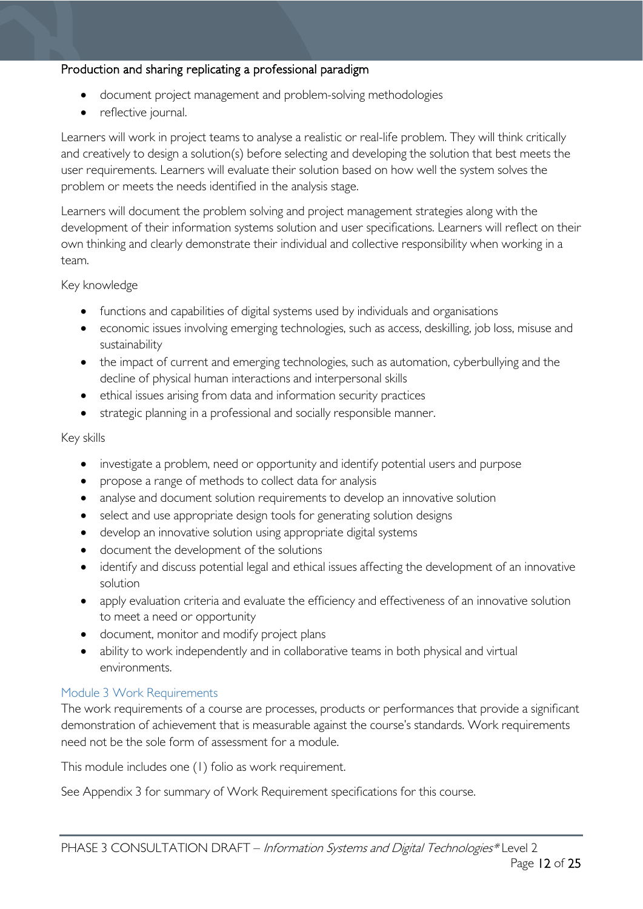#### Production and sharing replicating a professional paradigm

- document project management and problem-solving methodologies
- reflective journal.

Learners will work in project teams to analyse a realistic or real-life problem. They will think critically and creatively to design a solution(s) before selecting and developing the solution that best meets the user requirements. Learners will evaluate their solution based on how well the system solves the problem or meets the needs identified in the analysis stage.

Learners will document the problem solving and project management strategies along with the development of their information systems solution and user specifications. Learners will reflect on their own thinking and clearly demonstrate their individual and collective responsibility when working in a team.

#### Key knowledge

- functions and capabilities of digital systems used by individuals and organisations
- economic issues involving emerging technologies, such as access, deskilling, job loss, misuse and sustainability
- the impact of current and emerging technologies, such as automation, cyberbullying and the decline of physical human interactions and interpersonal skills
- ethical issues arising from data and information security practices
- strategic planning in a professional and socially responsible manner.

#### Key skills

- investigate a problem, need or opportunity and identify potential users and purpose
- propose a range of methods to collect data for analysis
- analyse and document solution requirements to develop an innovative solution
- select and use appropriate design tools for generating solution designs
- develop an innovative solution using appropriate digital systems
- document the development of the solutions
- identify and discuss potential legal and ethical issues affecting the development of an innovative solution
- apply evaluation criteria and evaluate the efficiency and effectiveness of an innovative solution to meet a need or opportunity
- document, monitor and modify project plans
- ability to work independently and in collaborative teams in both physical and virtual environments.

#### <span id="page-11-0"></span>Module 3 Work Requirements

The work requirements of a course are processes, products or performances that provide a significant demonstration of achievement that is measurable against the course's standards. Work requirements need not be the sole form of assessment for a module.

This module includes one (1) folio as work requirement.

See Appendix 3 for summary of Work Requirement specifications for this course.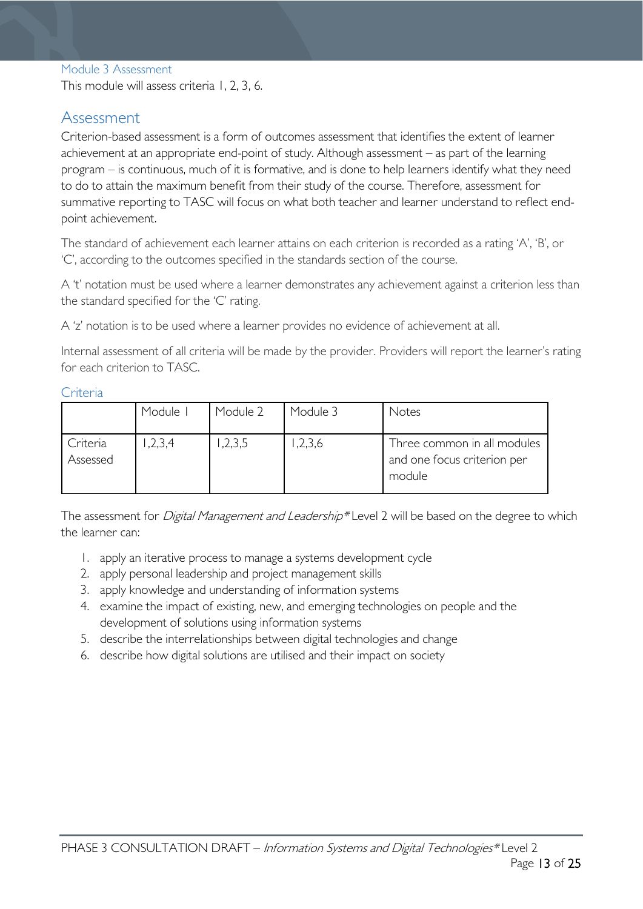<span id="page-12-0"></span>Module 3 Assessment

This module will assess criteria 1, 2, 3, 6.

#### <span id="page-12-1"></span>Assessment

Criterion-based assessment is a form of outcomes assessment that identifies the extent of learner achievement at an appropriate end-point of study. Although assessment – as part of the learning program – is continuous, much of it is formative, and is done to help learners identify what they need to do to attain the maximum benefit from their study of the course. Therefore, assessment for summative reporting to TASC will focus on what both teacher and learner understand to reflect endpoint achievement.

The standard of achievement each learner attains on each criterion is recorded as a rating 'A', 'B', or 'C', according to the outcomes specified in the standards section of the course.

A 't' notation must be used where a learner demonstrates any achievement against a criterion less than the standard specified for the 'C' rating.

A 'z' notation is to be used where a learner provides no evidence of achievement at all.

Internal assessment of all criteria will be made by the provider. Providers will report the learner's rating for each criterion to TASC.

<span id="page-12-2"></span>

|                      | Module I | Module 2 | Module 3 | Notes                                                                |
|----------------------|----------|----------|----------|----------------------------------------------------------------------|
| Criteria<br>Assessed | ,2,3,4   | ,2,3,5   | 1,2,3,6  | Three common in all modules<br>and one focus criterion per<br>module |

The assessment for *Digital Management and Leadership*\* Level 2 will be based on the degree to which the learner can:

- 1. apply an iterative process to manage a systems development cycle
- 2. apply personal leadership and project management skills
- 3. apply knowledge and understanding of information systems
- 4. examine the impact of existing, new, and emerging technologies on people and the development of solutions using information systems
- 5. describe the interrelationships between digital technologies and change
- 6. describe how digital solutions are utilised and their impact on society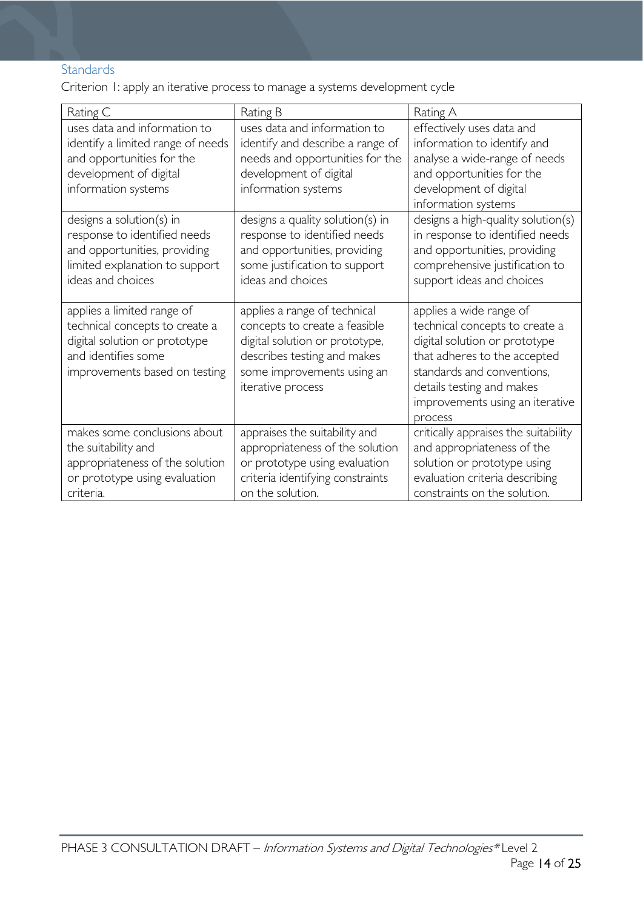### <span id="page-13-0"></span>**Standards**

Criterion 1: apply an iterative process to manage a systems development cycle

| Rating C                                                                                                                                              | Rating B                                                                                                                                                                          | Rating A                                                                                                                                                                                                                            |
|-------------------------------------------------------------------------------------------------------------------------------------------------------|-----------------------------------------------------------------------------------------------------------------------------------------------------------------------------------|-------------------------------------------------------------------------------------------------------------------------------------------------------------------------------------------------------------------------------------|
| uses data and information to<br>identify a limited range of needs<br>and opportunities for the<br>development of digital<br>information systems       | uses data and information to<br>identify and describe a range of<br>needs and opportunities for the<br>development of digital<br>information systems                              | effectively uses data and<br>information to identify and<br>analyse a wide-range of needs<br>and opportunities for the<br>development of digital<br>information systems                                                             |
| designs a solution(s) in<br>response to identified needs<br>and opportunities, providing<br>limited explanation to support<br>ideas and choices       | designs a quality solution(s) in<br>response to identified needs<br>and opportunities, providing<br>some justification to support<br>ideas and choices                            | designs a high-quality solution(s)<br>in response to identified needs<br>and opportunities, providing<br>comprehensive justification to<br>support ideas and choices                                                                |
| applies a limited range of<br>technical concepts to create a<br>digital solution or prototype<br>and identifies some<br>improvements based on testing | applies a range of technical<br>concepts to create a feasible<br>digital solution or prototype,<br>describes testing and makes<br>some improvements using an<br>iterative process | applies a wide range of<br>technical concepts to create a<br>digital solution or prototype<br>that adheres to the accepted<br>standards and conventions,<br>details testing and makes<br>improvements using an iterative<br>process |
| makes some conclusions about<br>the suitability and<br>appropriateness of the solution<br>or prototype using evaluation<br>criteria.                  | appraises the suitability and<br>appropriateness of the solution<br>or prototype using evaluation<br>criteria identifying constraints<br>on the solution.                         | critically appraises the suitability<br>and appropriateness of the<br>solution or prototype using<br>evaluation criteria describing<br>constraints on the solution.                                                                 |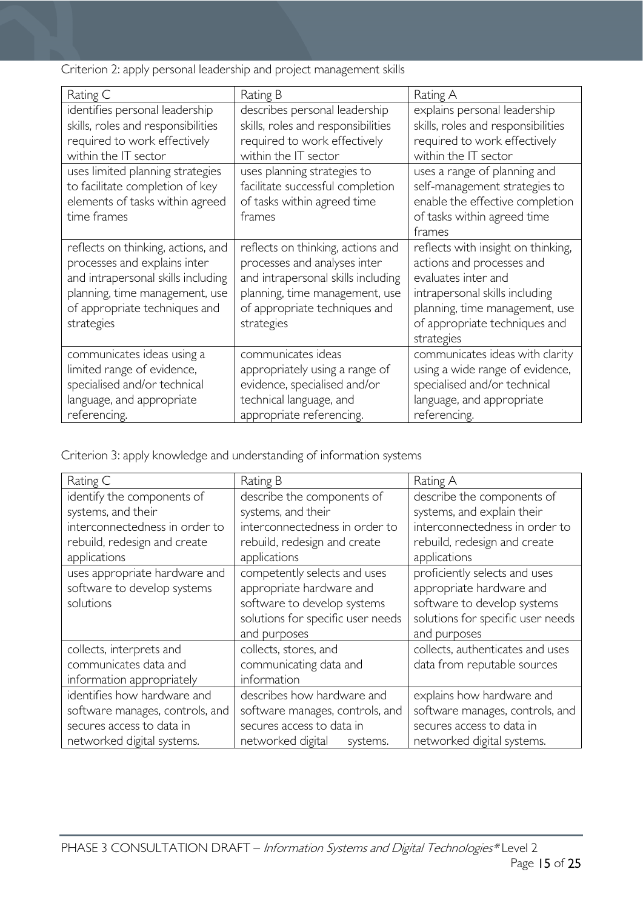Criterion 2: apply personal leadership and project management skills

| Rating C                           | Rating B                           | Rating A                           |
|------------------------------------|------------------------------------|------------------------------------|
| identifies personal leadership     | describes personal leadership      | explains personal leadership       |
| skills, roles and responsibilities | skills, roles and responsibilities | skills, roles and responsibilities |
| required to work effectively       | required to work effectively       | required to work effectively       |
| within the IT sector               | within the IT sector               | within the IT sector               |
| uses limited planning strategies   | uses planning strategies to        | uses a range of planning and       |
| to facilitate completion of key    | facilitate successful completion   | self-management strategies to      |
| elements of tasks within agreed    | of tasks within agreed time        | enable the effective completion    |
| time frames                        | frames                             | of tasks within agreed time        |
|                                    |                                    | frames                             |
| reflects on thinking, actions, and | reflects on thinking, actions and  | reflects with insight on thinking, |
| processes and explains inter       | processes and analyses inter       | actions and processes and          |
| and intrapersonal skills including | and intrapersonal skills including | evaluates inter and                |
| planning, time management, use     | planning, time management, use     | intrapersonal skills including     |
| of appropriate techniques and      | of appropriate techniques and      | planning, time management, use     |
| strategies                         | strategies                         | of appropriate techniques and      |
|                                    |                                    | strategies                         |
| communicates ideas using a         | communicates ideas                 | communicates ideas with clarity    |
| limited range of evidence,         | appropriately using a range of     | using a wide range of evidence,    |
| specialised and/or technical       | evidence, specialised and/or       | specialised and/or technical       |
| language, and appropriate          | technical language, and            | language, and appropriate          |
| referencing.                       | appropriate referencing.           | referencing.                       |

Criterion 3: apply knowledge and understanding of information systems

| Rating C                        | Rating B                          | Rating A                          |  |  |
|---------------------------------|-----------------------------------|-----------------------------------|--|--|
| identify the components of      | describe the components of        | describe the components of        |  |  |
| systems, and their              | systems, and their                | systems, and explain their        |  |  |
| interconnectedness in order to  | interconnectedness in order to    | interconnectedness in order to    |  |  |
| rebuild, redesign and create    | rebuild, redesign and create      | rebuild, redesign and create      |  |  |
| applications                    | applications                      | applications                      |  |  |
| uses appropriate hardware and   | competently selects and uses      | proficiently selects and uses     |  |  |
| software to develop systems     | appropriate hardware and          | appropriate hardware and          |  |  |
| solutions                       | software to develop systems       | software to develop systems       |  |  |
|                                 | solutions for specific user needs | solutions for specific user needs |  |  |
|                                 | and purposes                      | and purposes                      |  |  |
| collects, interprets and        | collects, stores, and             | collects, authenticates and uses  |  |  |
| communicates data and           | communicating data and            | data from reputable sources       |  |  |
| information appropriately       | information                       |                                   |  |  |
| identifies how hardware and     | describes how hardware and        | explains how hardware and         |  |  |
| software manages, controls, and | software manages, controls, and   | software manages, controls, and   |  |  |
| secures access to data in       | secures access to data in         | secures access to data in         |  |  |
| networked digital systems.      | networked digital<br>systems.     | networked digital systems.        |  |  |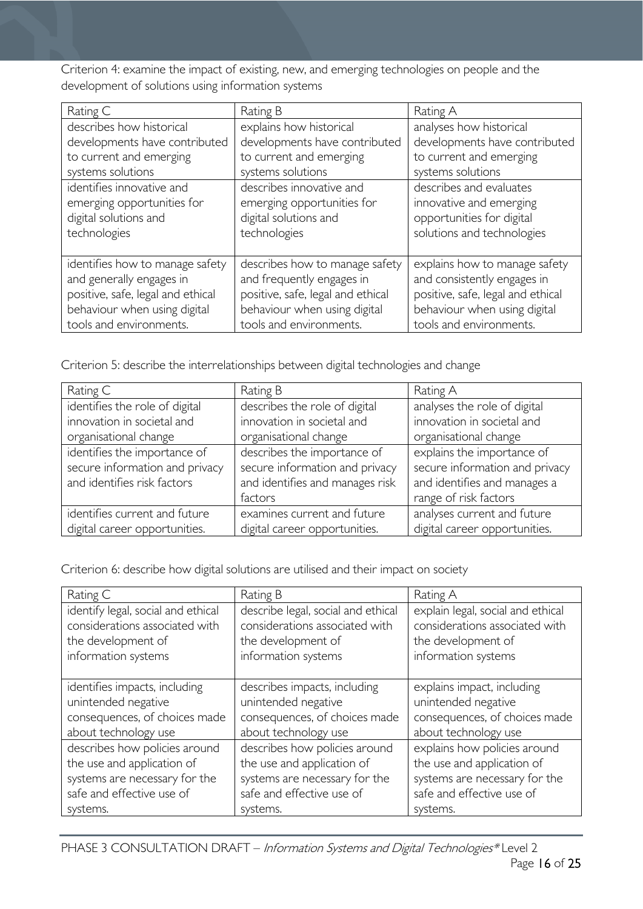Criterion 4: examine the impact of existing, new, and emerging technologies on people and the development of solutions using information systems

| Rating C                          | Rating B                          | Rating A                          |  |  |
|-----------------------------------|-----------------------------------|-----------------------------------|--|--|
| describes how historical          | explains how historical           | analyses how historical           |  |  |
| developments have contributed     | developments have contributed     | developments have contributed     |  |  |
| to current and emerging           | to current and emerging           | to current and emerging           |  |  |
| systems solutions                 | systems solutions                 | systems solutions                 |  |  |
| identifies innovative and         | describes innovative and          | describes and evaluates           |  |  |
| emerging opportunities for        | emerging opportunities for        | innovative and emerging           |  |  |
| digital solutions and             | digital solutions and             | opportunities for digital         |  |  |
| technologies<br>technologies      |                                   | solutions and technologies        |  |  |
|                                   |                                   |                                   |  |  |
| identifies how to manage safety   | describes how to manage safety    | explains how to manage safety     |  |  |
| and generally engages in          | and frequently engages in         | and consistently engages in       |  |  |
| positive, safe, legal and ethical | positive, safe, legal and ethical | positive, safe, legal and ethical |  |  |
| behaviour when using digital      | behaviour when using digital      | behaviour when using digital      |  |  |
| tools and environments.           | tools and environments.           | tools and environments.           |  |  |

Criterion 5: describe the interrelationships between digital technologies and change

| Rating C                       | Rating B                                       | Rating A                       |  |  |
|--------------------------------|------------------------------------------------|--------------------------------|--|--|
| identifies the role of digital | describes the role of digital                  | analyses the role of digital   |  |  |
| innovation in societal and     | innovation in societal and                     | innovation in societal and     |  |  |
| organisational change          | organisational change<br>organisational change |                                |  |  |
| identifies the importance of   | describes the importance of                    | explains the importance of     |  |  |
| secure information and privacy | secure information and privacy                 | secure information and privacy |  |  |
| and identifies risk factors    | and identifies and manages risk                | and identifies and manages a   |  |  |
|                                | factors                                        | range of risk factors          |  |  |
| identifies current and future  | examines current and future                    | analyses current and future    |  |  |
| digital career opportunities.  | digital career opportunities.                  | digital career opportunities.  |  |  |

Criterion 6: describe how digital solutions are utilised and their impact on society

| Rating C                           | Rating B                           | Rating A                          |
|------------------------------------|------------------------------------|-----------------------------------|
| identify legal, social and ethical | describe legal, social and ethical | explain legal, social and ethical |
| considerations associated with     | considerations associated with     | considerations associated with    |
| the development of                 | the development of                 | the development of                |
| information systems                | information systems                | information systems               |
|                                    |                                    |                                   |
| identifies impacts, including      | describes impacts, including       | explains impact, including        |
| unintended negative                | unintended negative                | unintended negative               |
| consequences, of choices made      | consequences, of choices made      | consequences, of choices made     |
| about technology use               | about technology use               | about technology use              |
| describes how policies around      | describes how policies around      | explains how policies around      |
| the use and application of         | the use and application of         | the use and application of        |
| systems are necessary for the      | systems are necessary for the      | systems are necessary for the     |
| safe and effective use of          | safe and effective use of          | safe and effective use of         |
| systems.                           | systems.                           | systems.                          |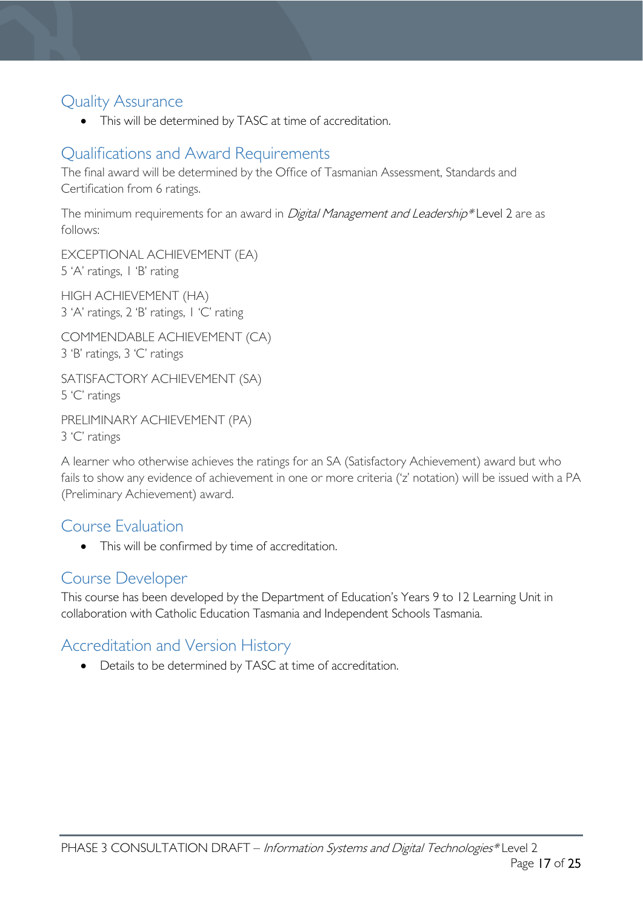### <span id="page-16-0"></span>Quality Assurance

• This will be determined by TASC at time of accreditation.

### <span id="page-16-1"></span>Qualifications and Award Requirements

The final award will be determined by the Office of Tasmanian Assessment, Standards and Certification from 6 ratings.

The minimum requirements for an award in *Digital Management and Leadership*\* Level 2 are as follows:

EXCEPTIONAL ACHIEVEMENT (EA) 5 'A' ratings, 1 'B' rating

HIGH ACHIEVEMENT (HA) 3 'A' ratings, 2 'B' ratings, 1 'C' rating

COMMENDABLE ACHIEVEMENT (CA) 3 'B' ratings, 3 'C' ratings

SATISFACTORY ACHIEVEMENT (SA) 5 'C' ratings

PRELIMINARY ACHIEVEMENT (PA) 3 'C' ratings

A learner who otherwise achieves the ratings for an SA (Satisfactory Achievement) award but who fails to show any evidence of achievement in one or more criteria ('z' notation) will be issued with a PA (Preliminary Achievement) award.

# <span id="page-16-2"></span>Course Evaluation

• This will be confirmed by time of accreditation.

# <span id="page-16-3"></span>Course Developer

This course has been developed by the Department of Education's Years 9 to 12 Learning Unit in collaboration with Catholic Education Tasmania and Independent Schools Tasmania.

# <span id="page-16-4"></span>Accreditation and Version History

• Details to be determined by TASC at time of accreditation.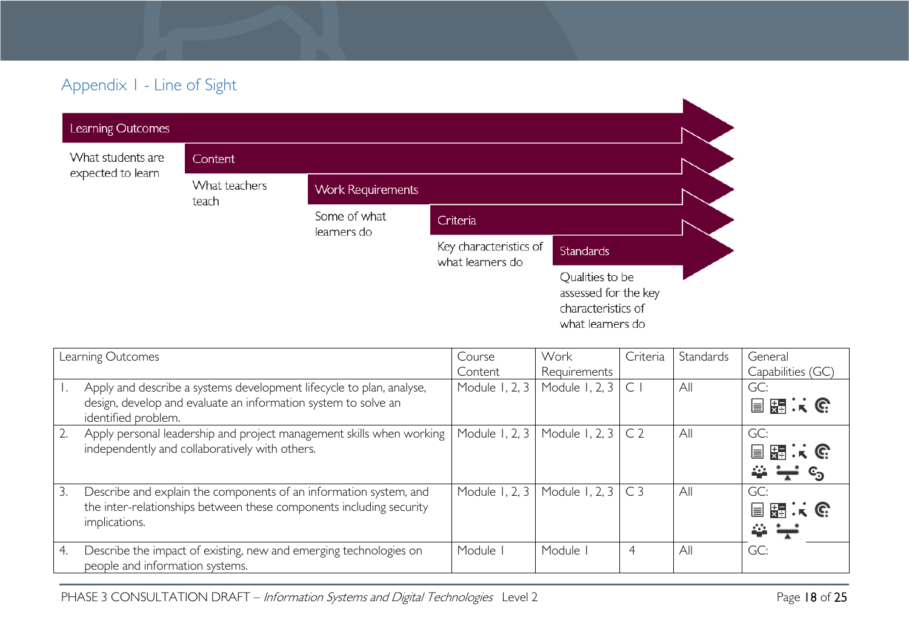# Appendix 1 - Line of Sight

| Learning Outcomes                      |                        |                             |                                            |                                                                                   |  |
|----------------------------------------|------------------------|-----------------------------|--------------------------------------------|-----------------------------------------------------------------------------------|--|
| What students are<br>expected to learn | <b>Content</b>         |                             |                                            |                                                                                   |  |
|                                        | What teachers<br>teach | <b>Work Requirements</b>    |                                            |                                                                                   |  |
|                                        |                        | Some of what<br>learners do | Criteria                                   |                                                                                   |  |
|                                        |                        |                             | Key characteristics of<br>what learners do | <b>Standards</b>                                                                  |  |
|                                        |                        |                             |                                            | Qualities to be<br>assessed for the key<br>characteristics of<br>what learners do |  |

<span id="page-17-0"></span>

| Learning Outcomes |                                                                                                                                                               | Course         | Work           | Criteria       | Standards | General                      |
|-------------------|---------------------------------------------------------------------------------------------------------------------------------------------------------------|----------------|----------------|----------------|-----------|------------------------------|
|                   |                                                                                                                                                               | Content        | Requirements   |                |           | Capabilities (GC)            |
|                   | Apply and describe a systems development lifecycle to plan, analyse,<br>design, develop and evaluate an information system to solve an<br>identified problem. | Module 1, 2, 3 | Module 1, 2, 3 | $\subset$      | All       | GC:<br>目題:に                  |
| 2.                | Apply personal leadership and project management skills when working  <br>independently and collaboratively with others.                                      | Module 1, 2, 3 | Module 1, 2, 3 | C <sub>2</sub> | All       | GC:<br>目題:に<br>44            |
| 3.                | Describe and explain the components of an information system, and<br>the inter-relationships between these components including security<br>implications.     | Module 1, 2, 3 | Module 1, 2, 3 | C <sub>3</sub> | All       | GC:<br>「思いで<br>$\equiv$<br>₩ |
| 4.                | Describe the impact of existing, new and emerging technologies on<br>people and information systems.                                                          | Module I       | Module         | 4              | All       | GC:                          |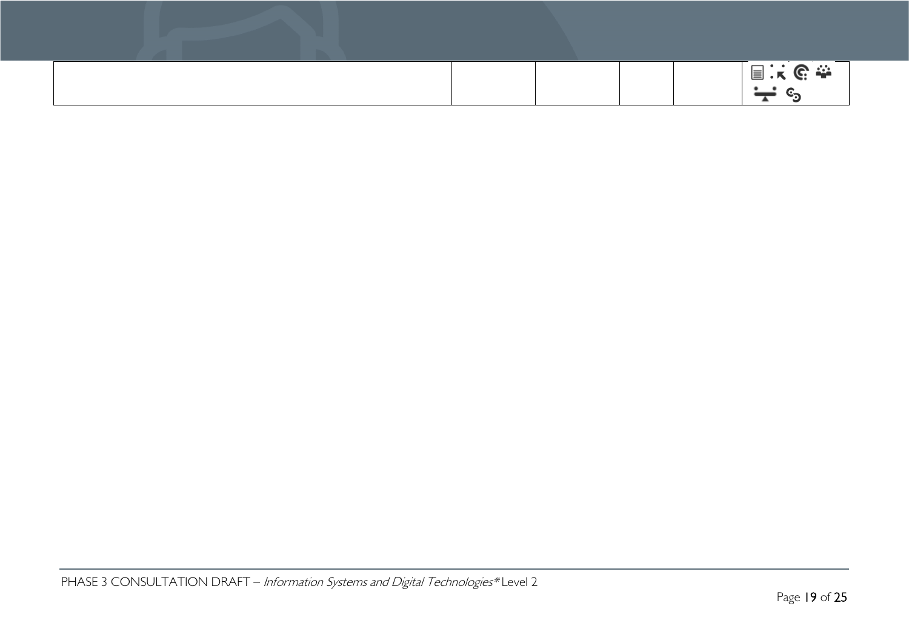|  | 冒<br>$\sim$ |
|--|-------------|
|  |             |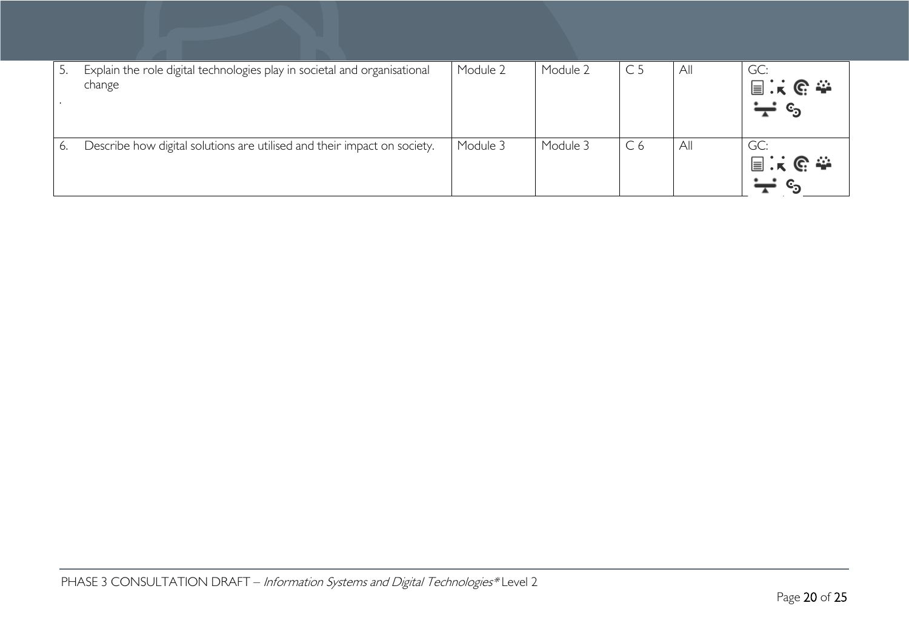| Ć. | Explain the role digital technologies play in societal and organisational<br>change | Module 2 | Module 2 | C <sub>5</sub> | All | GC:<br>国民职委<br>$\cdot$ ട്ര             |
|----|-------------------------------------------------------------------------------------|----------|----------|----------------|-----|----------------------------------------|
| 6. | Describe how digital solutions are utilised and their impact on society.            | Module 3 | Module 3 | C <sub>6</sub> | All | GC:<br>国民民参<br>$\mathbf{c}_\mathbf{D}$ |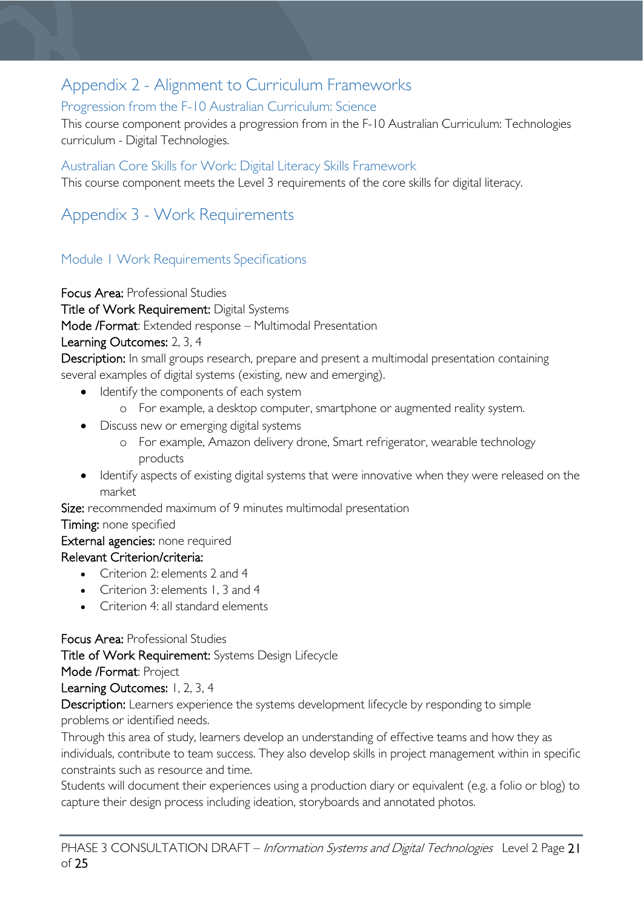# <span id="page-20-0"></span>Appendix 2 - Alignment to Curriculum Frameworks

### <span id="page-20-1"></span>Progression from the F-10 Australian Curriculum: Science

This course component provides a progression from in the F-10 Australian Curriculum: Technologies curriculum - Digital Technologies.

### <span id="page-20-2"></span>Australian Core Skills for Work: Digital Literacy Skills Framework

This course component meets the Level 3 requirements of the core skills for digital literacy.

# <span id="page-20-3"></span>Appendix 3 - Work Requirements

### <span id="page-20-4"></span>Module 1 Work Requirements Specifications

Focus Area: Professional Studies

Title of Work Requirement: Digital Systems

Mode /Format: Extended response – Multimodal Presentation

#### Learning Outcomes: 2, 3, 4

Description: In small groups research, prepare and present a multimodal presentation containing several examples of digital systems (existing, new and emerging).

- Identify the components of each system
	- o For example, a desktop computer, smartphone or augmented reality system.
- Discuss new or emerging digital systems
	- o For example, Amazon delivery drone, Smart refrigerator, wearable technology products
- Identify aspects of existing digital systems that were innovative when they were released on the market

Size: recommended maximum of 9 minutes multimodal presentation

Timing: none specified

External agencies: none required

#### Relevant Criterion/criteria:

- Criterion 2: elements 2 and 4
- Criterion 3: elements 1, 3 and 4
- Criterion 4: all standard elements

#### Focus Area: Professional Studies

Title of Work Requirement: Systems Design Lifecycle

#### Mode /Format: Project

Learning Outcomes: 1, 2, 3, 4

Description: Learners experience the systems development lifecycle by responding to simple problems or identified needs.

Through this area of study, learners develop an understanding of effective teams and how they as individuals, contribute to team success. They also develop skills in project management within in specific constraints such as resource and time.

Students will document their experiences using a production diary or equivalent (e.g. a folio or blog) to capture their design process including ideation, storyboards and annotated photos.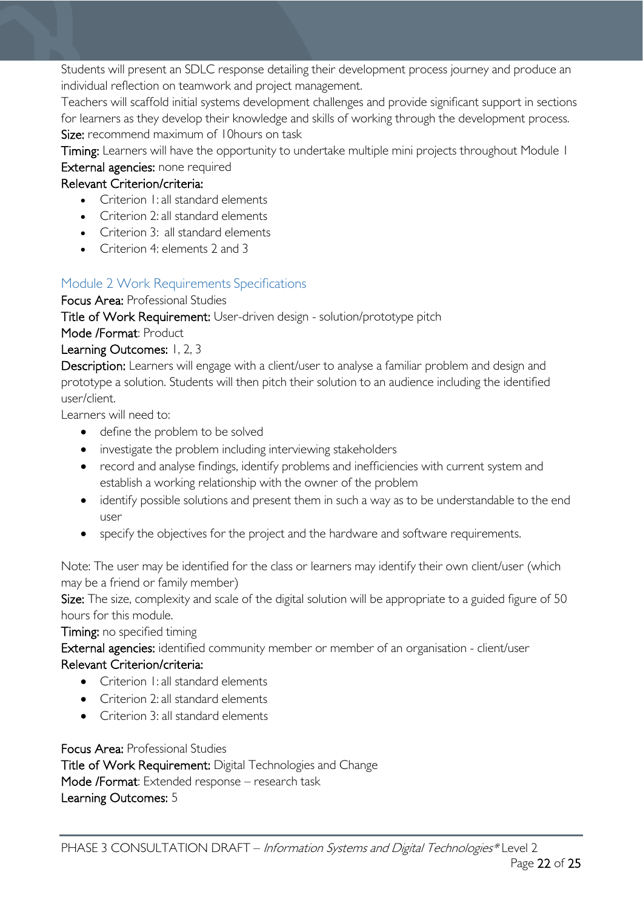Students will present an SDLC response detailing their development process journey and produce an individual reflection on teamwork and project management.

Teachers will scaffold initial systems development challenges and provide significant support in sections for learners as they develop their knowledge and skills of working through the development process. Size: recommend maximum of 10 hours on task

Timing: Learners will have the opportunity to undertake multiple mini projects throughout Module I

#### External agencies: none required

#### Relevant Criterion/criteria:

- Criterion 1: all standard elements
- Criterion 2: all standard elements
- Criterion 3: all standard elements
- Criterion 4: elements 2 and 3

#### <span id="page-21-0"></span>Module 2 Work Requirements Specifications

Focus Area: Professional Studies

Title of Work Requirement: User-driven design - solution/prototype pitch

Mode /Format: Product

#### Learning Outcomes: 1, 2, 3

Description: Learners will engage with a client/user to analyse a familiar problem and design and prototype a solution. Students will then pitch their solution to an audience including the identified user/client.

Learners will need to:

- define the problem to be solved
- investigate the problem including interviewing stakeholders
- record and analyse findings, identify problems and inefficiencies with current system and establish a working relationship with the owner of the problem
- identify possible solutions and present them in such a way as to be understandable to the end user
- specify the objectives for the project and the hardware and software requirements.

Note: The user may be identified for the class or learners may identify their own client/user (which may be a friend or family member)

Size: The size, complexity and scale of the digital solution will be appropriate to a guided figure of 50 hours for this module.

#### Timing: no specified timing

External agencies: identified community member or member of an organisation - client/user Relevant Criterion/criteria:

- Criterion I<sup>I</sup> all standard elements
- Criterion 2: all standard elements
- Criterion 3: all standard elements

Focus Area: Professional Studies Title of Work Requirement: Digital Technologies and Change Mode /Format: Extended response – research task Learning Outcomes: 5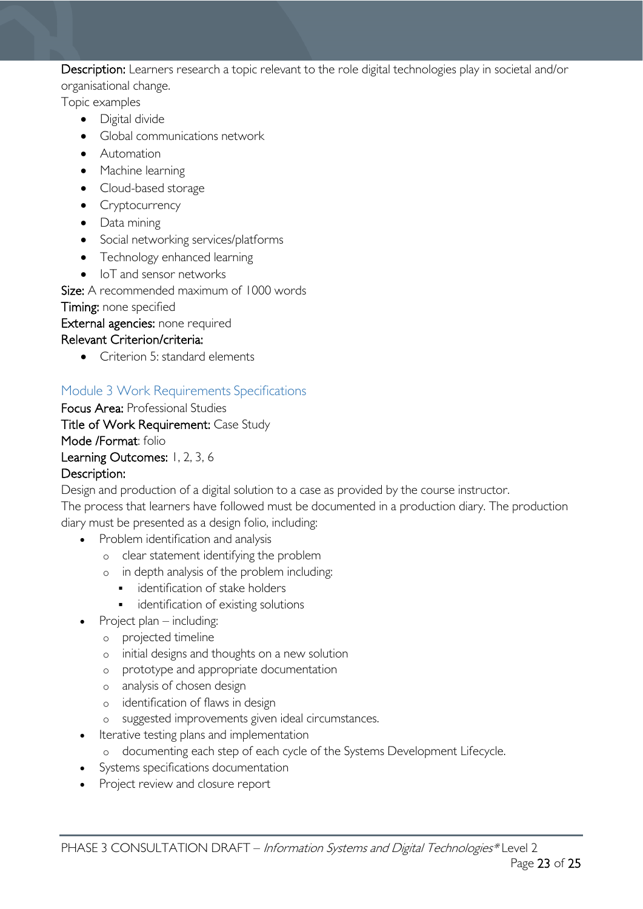Description: Learners research a topic relevant to the role digital technologies play in societal and/or organisational change.

Topic examples

- Digital divide
- Global communications network
- Automation
- Machine learning
- Cloud-based storage
- Cryptocurrency
- Data mining
- Social networking services/platforms
- Technology enhanced learning
- IoT and sensor networks

Size: A recommended maximum of 1000 words

Timing: none specified

External agencies: none required

#### Relevant Criterion/criteria:

• Criterion 5: standard elements

### <span id="page-22-0"></span>Module 3 Work Requirements Specifications

Focus Area: Professional Studies Title of Work Requirement: Case Study Mode /Format: folio Learning Outcomes: 1, 2, 3, 6 Description:

Design and production of a digital solution to a case as provided by the course instructor. The process that learners have followed must be documented in a production diary. The production diary must be presented as a design folio, including:

- Problem identification and analysis
	- o clear statement identifying the problem
	- o in depth analysis of the problem including:
		- **identification of stake holders**
		- **i** identification of existing solutions
- Project plan including:
	- o projected timeline
	- o initial designs and thoughts on a new solution
	- o prototype and appropriate documentation
	- o analysis of chosen design
	- o identification of flaws in design
	- o suggested improvements given ideal circumstances.
	- Iterative testing plans and implementation
		- o documenting each step of each cycle of the Systems Development Lifecycle.
- Systems specifications documentation
- Project review and closure report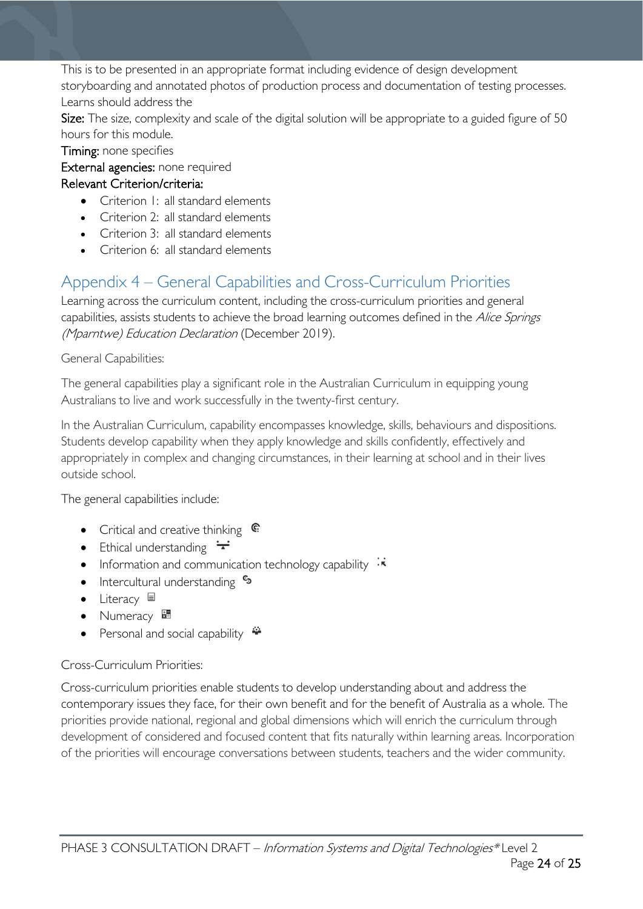This is to be presented in an appropriate format including evidence of design development storyboarding and annotated photos of production process and documentation of testing processes. Learns should address the

Size: The size, complexity and scale of the digital solution will be appropriate to a guided figure of 50 hours for this module.

#### Timing: none specifies

External agencies: none required

#### Relevant Criterion/criteria:

- Criterion I<sup>I</sup> all standard elements
- Criterion 2: all standard elements
- Criterion 3: all standard elements
- Criterion 6: all standard elements

# <span id="page-23-0"></span>Appendix 4 – General Capabilities and Cross-Curriculum Priorities

Learning across the curriculum content, including the cross-curriculum priorities and general capabilities, assists students to achieve the broad learning outcomes defined in the Alice Springs (Mparntwe) Education Declaration (December 2019).

General Capabilities:

The general capabilities play a significant role in the Australian Curriculum in equipping young Australians to live and work successfully in the twenty-first century.

In the Australian Curriculum, capability encompasses knowledge, skills, behaviours and dispositions. Students develop capability when they apply knowledge and skills confidently, effectively and appropriately in complex and changing circumstances, in their learning at school and in their lives outside school.

The general capabilities include:

- Critical and creative thinking  $\epsilon$
- Ethical understanding  $\pm$
- Information and communication technology capability  $\cdot\cdot\cdot$
- Intercultural understanding •
- Literacy  $\blacksquare$
- Numeracy
- Personal and social capability  $\triangleq$

#### Cross-Curriculum Priorities:

Cross-curriculum priorities enable students to develop understanding about and address the contemporary issues they face, for their own benefit and for the benefit of Australia as a whole. The priorities provide national, regional and global dimensions which will enrich the curriculum through development of considered and focused content that fits naturally within learning areas. Incorporation of the priorities will encourage conversations between students, teachers and the wider community.